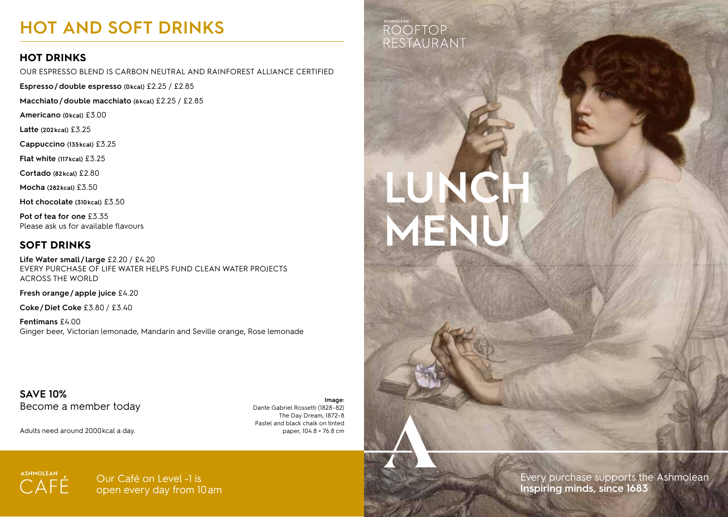# **HOT AND SOFT DRINKS**

# **HOT DRINKS**

OUR ESPRESSO BLEND IS CARBON NEUTRAL AND RAINFOREST ALLIANCE CERTIFIED

**Espresso/double espresso (0kcal)** £2.25 / £2.85

**Macchiato/double macchiato (6kcal)** £2.25 / £2.85

**Americano (0kcal)** £3.00

**Latte (202kcal)** £3.25

**Cappuccino (135kcal)** £3.25

**Flat white (117kcal)** £3.25

**Cortado (82kcal)** £2.80

**Mocha (282kcal)** £3.50

**Hot chocolate (310kcal)** £3.50

**Pot of tea for one** £3.35 Please ask us for available flavours

# **SOFT DRINKS**

**Life Water small / large** £2.20 / £4.20 EVERY PURCHASE OF LIFE WATER HELPS FUND CLEAN WATER PROJECTS ACROSS THE WORLD

**Fresh orange/apple juice** £4.20

**Coke/Diet Coke** £3.80 / £3.40

**Fentimans** £4.00 Ginger beer, Victorian lemonade, Mandarin and Seville orange, Rose lemonade

**SAVE 10%** Become a member today

Adults need around 2000kcal a day.

**Image:** Dante Gabriel Rossetti (1828–82) The Day Dream, 1872–8 Pastel and black chalk on tinted paper, 104.8 × 76.8 cm

# **ROOFTOP** RESTAURANT

**LUNCH** 

**MENU**



Every purchase supports the Ashmolean **Inspiring minds, since 1683**



Our Café on Level -1 is open every day from 10am